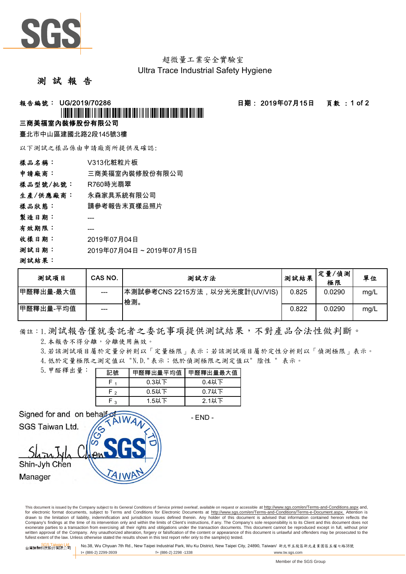

超微量工業安全實驗室 Ultra Trace Industrial Safety Hygiene

#### 測 試 報 告

#### **報告編號: UG/2019/70286 - - - - - - - - - - - - - - 日期: 2019年07月15日 - - 頁數 : 1 of 2**

# <u>\*UGO/2019/11/00286/70286/70286</u>

#### 三商美福室內裝修股份有限公司

臺北市中山區建國北路2段145號3樓

以下測試之樣品係由申請廠商所提供及確認:

| 樣品名稱:    | V313化粧粒片板               |
|----------|-------------------------|
| 申請廠商:    | 三商美福室內裝修股份有限公司          |
| 樣品型號/批號: | R760時光翡翠                |
| 生產/供應廠商: | 永森家具系統有限公司              |
| 樣品狀態:    | 請參考報告末頁樣品照片             |
| 製造日期:    |                         |
| 有效期限:    |                         |
| 收樣日期:    | 2019年07月04日             |
| 测試日期:    | 2019年07月04日~2019年07月15日 |
| 測試結果:    |                         |

| 测試項目       | CAS NO. | 测試方法                                  | 测試結果  | 定量/偵測<br>極限 | 單位   |
|------------|---------|---------------------------------------|-------|-------------|------|
| 甲醛釋出量-最大值  | ---     | 本測試參考CNS 2215方法,以分光光度計(UV/VIS)<br>檢測。 | 0.825 | 0.0290      | mg/L |
| ┃甲醛釋出量-平均值 | ---     |                                       | 0.822 | 0.0290      | mg/L |

## 備註:1.測試報告僅就委託者之委託事項提供測試結果,不對產品合法性做判斷。

2. 本報告不得分離,分離使用無效。

3.若該測試項目屬於定量分析則以「定量極限」表示;若該測試項目屬於定性分析則以「偵測極限」表示。

4.低於定量極限之測定值以 "N.D."表示;低於偵測極限之測定值以" 陰性 " 表示。

| 5. 甲醛釋出量: | 記號           | 甲醛釋出量平均值 | 甲醛釋出量最大值 |  |  |
|-----------|--------------|----------|----------|--|--|
|           |              | $0.3$ 以下 | $0.4$ 以下 |  |  |
|           | - ^          | $0.5$ 以下 | $0.7$ 以下 |  |  |
|           | $\mathbf{z}$ | 1.5以下    | $2.1$ 以下 |  |  |

Signed for and on behalf SGS Taiwan Ltd.

- END -

Shin-Jyh Chen

Manager

This document is issued by the Company subject to its General Conditions of Service printed overleaf, available on request or accessible at http://www.sgs.com/en/Terms-and-Conditions.aspx and, for electronic format documents, subject to Terms and Conditions for Electronic Documents at http://www.sgs.com/en/Terms-and-Conditions/Terms-e-Document.aspx. Attention is drawn to the limitation of liability, indemnification and jurisdiction issues defined therein. Any holder of this document is advised that information contained hereon reflects the<br>Company's findings at the time of its int exonerate parties to a transaction from exercising all their rights and obligations under the transaction documents. This document cannot be reproduced except in full, without prior written approval of the Company. Any unauthorized alteration, forgery or falsification of the content or appearance of this document is unlawful and offenders may be prosecuted to the<br>fullest extent of the law. Unless othe

台灣檢驗科技股份[L<mark>td.</mark> INo.38, Wu Chyuan 7th Rd., New Taipei Industrial Park, Wu Ku District, New Taipei City, 24890, Taiwan/ 新北市五股區新北產業園區五權七路38號<br>台灣檢驗科技股份有限公司 I t+ (886-2) 2299-3939 f+ (886-2) 2298 -1338 www.tw.sgs.com